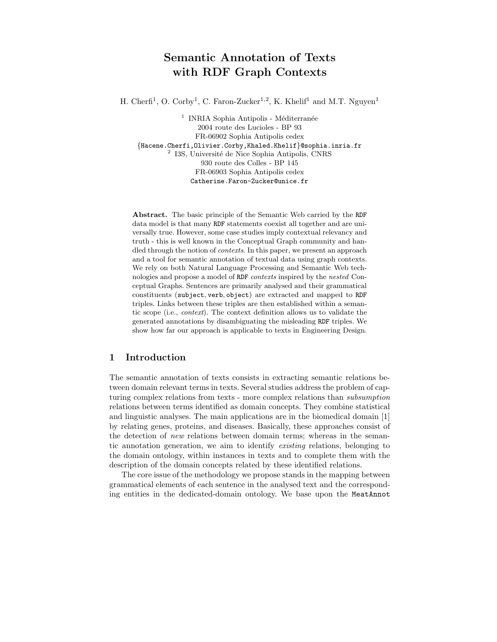# Semantic Annotation of Texts with RDF Graph Contexts

H. Cherfi<sup>1</sup>, O. Corby<sup>1</sup>, C. Faron-Zucker<sup>1,2</sup>, K. Khelif<sup>1</sup> and M.T. Nguyen<sup>1</sup>

 $^{\rm 1}$  INRIA Sophia Antipolis - Méditerranée 2004 route des Lucioles - BP 93 FR-06902 Sophia Antipolis cedex {Hacene.Cherfi,Olivier.Corby,Khaled.Khelif}@sophia.inria.fr <sup>2</sup> I3S, Université de Nice Sophia Antipolis, CNRS 930 route des Colles - BP 145 FR-06903 Sophia Antipolis cedex Catherine.Faron-Zucker@unice.fr

Abstract. The basic principle of the Semantic Web carried by the RDF data model is that many RDF statements coexist all together and are universally true. However, some case studies imply contextual relevancy and truth - this is well known in the Conceptual Graph community and handled through the notion of *contexts*. In this paper, we present an approach and a tool for semantic annotation of textual data using graph contexts. We rely on both Natural Language Processing and Semantic Web technologies and propose a model of RDF contexts inspired by the nested Conceptual Graphs. Sentences are primarily analysed and their grammatical constituents (subject, verb, object) are extracted and mapped to RDF triples. Links between these triples are then established within a semantic scope (i.e., context). The context definition allows us to validate the generated annotations by disambiguating the misleading RDF triples. We show how far our approach is applicable to texts in Engineering Design.

# 1 Introduction

The semantic annotation of texts consists in extracting semantic relations between domain relevant terms in texts. Several studies address the problem of capturing complex relations from texts - more complex relations than subsumption relations between terms identified as domain concepts. They combine statistical and linguistic analyses. The main applications are in the biomedical domain [1] by relating genes, proteins, and diseases. Basically, these approaches consist of the detection of new relations between domain terms; whereas in the semantic annotation generation, we aim to identify existing relations, belonging to the domain ontology, within instances in texts and to complete them with the description of the domain concepts related by these identified relations.

The core issue of the methodology we propose stands in the mapping between grammatical elements of each sentence in the analysed text and the corresponding entities in the dedicated-domain ontology. We base upon the MeatAnnot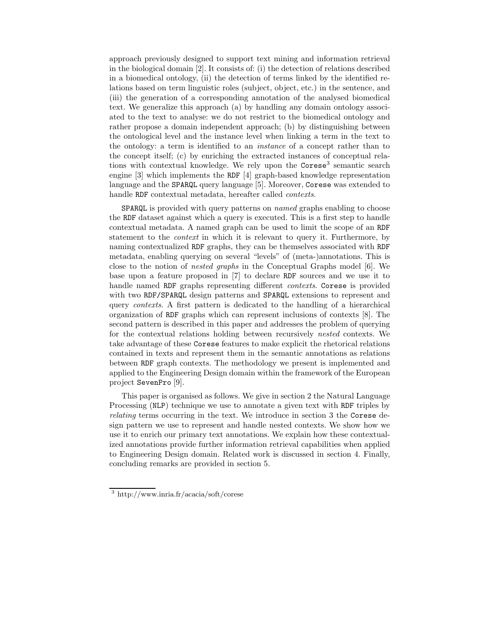approach previously designed to support text mining and information retrieval in the biological domain [2]. It consists of: (i) the detection of relations described in a biomedical ontology, (ii) the detection of terms linked by the identified relations based on term linguistic roles (subject, object, etc.) in the sentence, and (iii) the generation of a corresponding annotation of the analysed biomedical text. We generalize this approach (a) by handling any domain ontology associated to the text to analyse: we do not restrict to the biomedical ontology and rather propose a domain independent approach; (b) by distinguishing between the ontological level and the instance level when linking a term in the text to the ontology: a term is identified to an instance of a concept rather than to the concept itself; (c) by enriching the extracted instances of conceptual relations with contextual knowledge. We rely upon the Corese<sup>3</sup> semantic search engine [3] which implements the RDF [4] graph-based knowledge representation language and the SPARQL query language [5]. Moreover, Corese was extended to handle RDF contextual metadata, hereafter called *contexts*.

SPARQL is provided with query patterns on named graphs enabling to choose the RDF dataset against which a query is executed. This is a first step to handle contextual metadata. A named graph can be used to limit the scope of an RDF statement to the context in which it is relevant to query it. Furthermore, by naming contextualized RDF graphs, they can be themselves associated with RDF metadata, enabling querying on several "levels" of (meta-)annotations. This is close to the notion of nested graphs in the Conceptual Graphs model [6]. We base upon a feature proposed in [7] to declare RDF sources and we use it to handle named RDF graphs representing different contexts. Corese is provided with two RDF/SPARQL design patterns and SPARQL extensions to represent and query contexts. A first pattern is dedicated to the handling of a hierarchical organization of RDF graphs which can represent inclusions of contexts [8]. The second pattern is described in this paper and addresses the problem of querying for the contextual relations holding between recursively nested contexts. We take advantage of these Corese features to make explicit the rhetorical relations contained in texts and represent them in the semantic annotations as relations between RDF graph contexts. The methodology we present is implemented and applied to the Engineering Design domain within the framework of the European project SevenPro [9].

This paper is organised as follows. We give in section 2 the Natural Language Processing (NLP) technique we use to annotate a given text with RDF triples by relating terms occurring in the text. We introduce in section 3 the Corese design pattern we use to represent and handle nested contexts. We show how we use it to enrich our primary text annotations. We explain how these contextualized annotations provide further information retrieval capabilities when applied to Engineering Design domain. Related work is discussed in section 4. Finally, concluding remarks are provided in section 5.

<sup>3</sup> http://www.inria.fr/acacia/soft/corese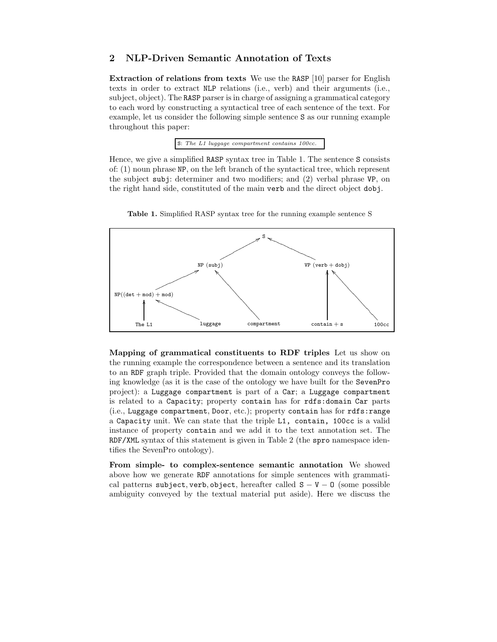# 2 NLP-Driven Semantic Annotation of Texts

Extraction of relations from texts We use the RASP [10] parser for English texts in order to extract NLP relations (i.e., verb) and their arguments (i.e., subject, object). The RASP parser is in charge of assigning a grammatical category to each word by constructing a syntactical tree of each sentence of the text. For example, let us consider the following simple sentence S as our running example throughout this paper:

S: The L1 luggage compartment contains 100cc.

Hence, we give a simplified RASP syntax tree in Table 1. The sentence S consists of: (1) noun phrase NP, on the left branch of the syntactical tree, which represent the subject subj: determiner and two modifiers; and (2) verbal phrase VP, on the right hand side, constituted of the main verb and the direct object dobj.



Table 1. Simplified RASP syntax tree for the running example sentence S

Mapping of grammatical constituents to RDF triples Let us show on the running example the correspondence between a sentence and its translation to an RDF graph triple. Provided that the domain ontology conveys the following knowledge (as it is the case of the ontology we have built for the SevenPro project): a Luggage compartment is part of a Car; a Luggage compartment is related to a Capacity; property contain has for rdfs:domain Car parts (i.e., Luggage compartment, Door, etc.); property contain has for rdfs:range a Capacity unit. We can state that the triple L1, contain, 100cc is a valid instance of property contain and we add it to the text annotation set. The RDF/XML syntax of this statement is given in Table 2 (the spro namespace identifies the SevenPro ontology).

From simple- to complex-sentence semantic annotation We showed above how we generate RDF annotations for simple sentences with grammatical patterns subject, verb, object, hereafter called  $S - V - 0$  (some possible ambiguity conveyed by the textual material put aside). Here we discuss the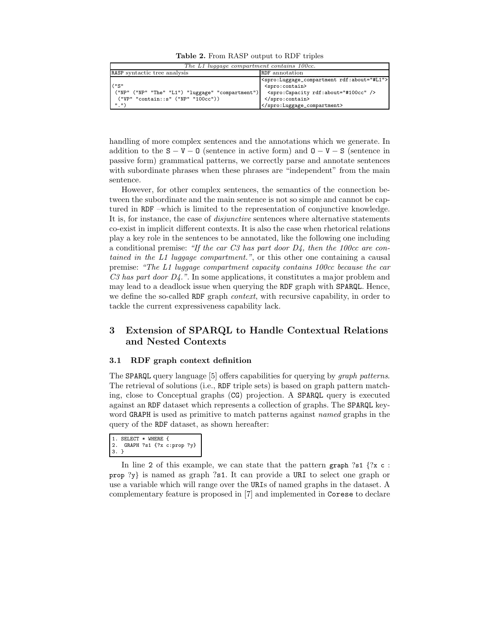Table 2. From RASP output to RDF triples

| The L1 luggage compartment contains 100cc.                                                                  |                                                                                                                                                                          |  |
|-------------------------------------------------------------------------------------------------------------|--------------------------------------------------------------------------------------------------------------------------------------------------------------------------|--|
| RASP syntactic tree analysis                                                                                | <b>RDF</b> annotation                                                                                                                                                    |  |
| $($ "S"<br>("NP" ("NP" "The" "L1") "luggage" "compartment")<br>('VP'' "contain::s" ('NP'' "100cc"))<br>", " | <spro:luggage_compartment rdf:about="#L1"><br/><spro:contain><br/><spro: about="#100cc" capacity="" rdf:=""></spro:><br/></spro:contain><br/></spro:luggage_compartment> |  |

handling of more complex sentences and the annotations which we generate. In addition to the  $S - V - 0$  (sentence in active form) and  $O - V - S$  (sentence in passive form) grammatical patterns, we correctly parse and annotate sentences with subordinate phrases when these phrases are "independent" from the main sentence.

However, for other complex sentences, the semantics of the connection between the subordinate and the main sentence is not so simple and cannot be captured in RDF –which is limited to the representation of conjunctive knowledge. It is, for instance, the case of disjunctive sentences where alternative statements co-exist in implicit different contexts. It is also the case when rhetorical relations play a key role in the sentences to be annotated, like the following one including a conditional premise: "If the car C3 has part door  $D<sub>4</sub>$ , then the 100cc are contained in the L1 luggage compartment.", or this other one containing a causal premise: "The L1 luggage compartment capacity contains 100cc because the car  $C3$  has part door  $D4$ .". In some applications, it constitutes a major problem and may lead to a deadlock issue when querying the RDF graph with SPARQL. Hence, we define the so-called RDF graph *context*, with recursive capability, in order to tackle the current expressiveness capability lack.

# 3 Extension of SPARQL to Handle Contextual Relations and Nested Contexts

#### 3.1 RDF graph context definition

The SPARQL query language [5] offers capabilities for querying by *graph patterns*. The retrieval of solutions (i.e., RDF triple sets) is based on graph pattern matching, close to Conceptual graphs (CG) projection. A SPARQL query is executed against an RDF dataset which represents a collection of graphs. The SPARQL keyword GRAPH is used as primitive to match patterns against named graphs in the query of the RDF dataset, as shown hereafter:

```
1. SELECT * WHERE {<br>2. GRAPH ?s1 {?x c
    2. GRAPH ?s1 {?x c:prop ?y}
3.
```
In line 2 of this example, we can state that the pattern graph ?s1  $\{2x \ c :$ prop  $\{y\}$  is named as graph  $\{s\}$ . It can provide a URI to select one graph or use a variable which will range over the URIs of named graphs in the dataset. A complementary feature is proposed in [7] and implemented in Corese to declare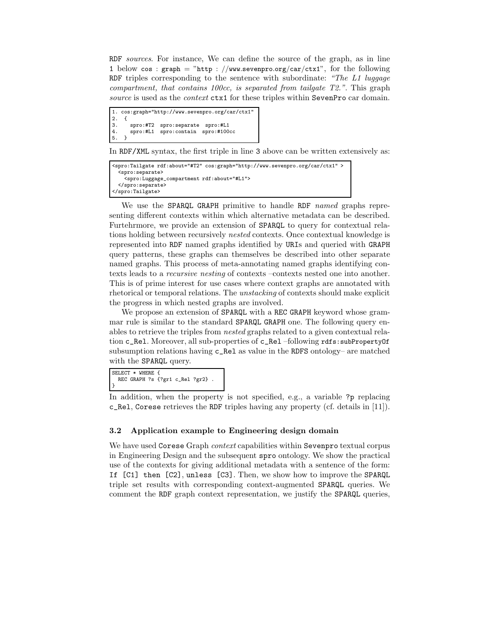RDF sources. For instance, We can define the source of the graph, as in line 1 below cos :  $graph = "http://www.sevenpro.org/car/ctx1", for the following$ RDF triples corresponding to the sentence with subordinate: "The  $L1$  luggage compartment, that contains 100cc, is separated from tailgate  $T2$ .". This graph source is used as the context ctx1 for these triples within SevenPro car domain.

```
1. cos:graph="http://www.sevenpro.org/car/ctx1"
2. {
3. spro:#T2 spro:separate spro:#L1
4. spro:#L1 spro:contain spro:#100cc
5. }
```
In RDF/XML syntax, the first triple in line 3 above can be written extensively as:

```
<spro:Tailgate rdf:about="#T2" cos:graph="http://www.sevenpro.org/car/ctx1" >
  <spro:separate>
   <spro:Luggage_compartment rdf:about="#L1">
 </spro:separate>
</spro:Tailgate>
```
We use the SPARQL GRAPH primitive to handle RDF named graphs representing different contexts within which alternative metadata can be described. Furtehrmore, we provide an extension of SPARQL to query for contextual relations holding between recursively nested contexts. Once contextual knowledge is represented into RDF named graphs identified by URIs and queried with GRAPH query patterns, these graphs can themselves be described into other separate named graphs. This process of meta-annotating named graphs identifying contexts leads to a recursive nesting of contexts –contexts nested one into another. This is of prime interest for use cases where context graphs are annotated with rhetorical or temporal relations. The unstacking of contexts should make explicit the progress in which nested graphs are involved.

We propose an extension of SPARQL with a REC GRAPH keyword whose grammar rule is similar to the standard SPARQL GRAPH one. The following query enables to retrieve the triples from nested graphs related to a given contextual relation c\_Rel. Moreover, all sub-properties of c\_Rel –following rdfs: subPropertyOf subsumption relations having c\_Rel as value in the RDFS ontology– are matched with the SPARQL query.

```
SELECT * WHERE {
  REC GRAPH ?s {?gr1 c_Rel ?gr2} .
}
```
In addition, when the property is not specified, e.g., a variable ?p replacing c\_Rel, Corese retrieves the RDF triples having any property (cf. details in [11]).

### 3.2 Application example to Engineering design domain

We have used Corese Graph *context* capabilities within Sevenpro textual corpus in Engineering Design and the subsequent spro ontology. We show the practical use of the contexts for giving additional metadata with a sentence of the form: If [C1] then [C2], unless [C3]. Then, we show how to improve the SPARQL triple set results with corresponding context-augmented SPARQL queries. We comment the RDF graph context representation, we justify the SPARQL queries,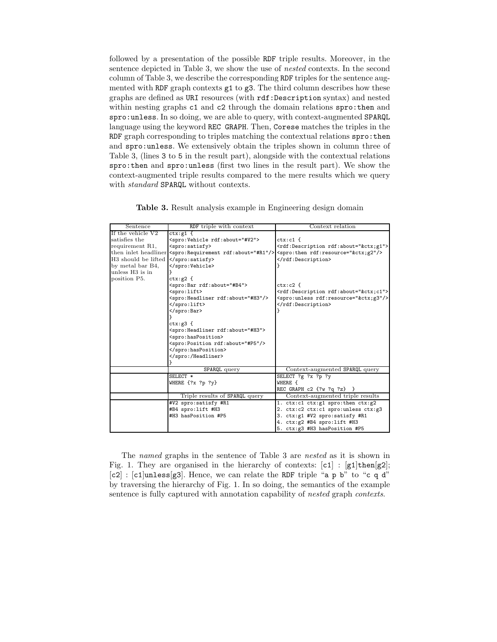followed by a presentation of the possible RDF triple results. Moreover, in the sentence depicted in Table 3, we show the use of nested contexts. In the second column of Table 3, we describe the corresponding RDF triples for the sentence augmented with RDF graph contexts g1 to g3. The third column describes how these graphs are defined as URI resources (with rdf:Description syntax) and nested within nesting graphs c1 and c2 through the domain relations spro:then and spro:unless. In so doing, we are able to query, with context-augmented SPARQL language using the keyword REC GRAPH. Then, Corese matches the triples in the RDF graph corresponding to triples matching the contextual relations spro: then and spro:unless. We extensively obtain the triples shown in column three of Table 3, (lines 3 to 5 in the result part), alongside with the contextual relations spro:then and spro:unless (first two lines in the result part). We show the context-augmented triple results compared to the mere results which we query with standard SPARQL without contexts.

| Sentence            | RDF triple with context                          | Context relation                                                                                                                |
|---------------------|--------------------------------------------------|---------------------------------------------------------------------------------------------------------------------------------|
| If the vehicle V2   | $ctx:g1$ {                                       |                                                                                                                                 |
| satisfies the       | <spro:vehicle rdf:about="#V2"></spro:vehicle>    | $ctx: c1$ {                                                                                                                     |
| requirement R1,     | <spro:satisfy></spro:satisfy>                    | <rdf:description rdf:about="&amp;ctx;g1"></rdf:description>                                                                     |
|                     |                                                  | then inlet headliner <spro: about="#R1" rdf:="" requirement=""></spro:> <spro: rdf:="" resource="&amp;ctx; g2" then=""></spro:> |
| H3 should be lifted |                                                  |                                                                                                                                 |
| by metal bar B4,    |                                                  |                                                                                                                                 |
| unless H3 is in     |                                                  |                                                                                                                                 |
| position P5.        | $ctx:g2$ {                                       |                                                                                                                                 |
|                     | <spro:bar rdf:about="#B4"></spro:bar>            | $ctx: c2 \cdot f$                                                                                                               |
|                     | <spro:lift></spro:lift>                          | <rdf:description rdf:about="&amp;ctx;c1"></rdf:description>                                                                     |
|                     | <spro: about="#H3" headliner="" rdf:=""></spro:> | <spro:unless rdf:resource="&amp;ctx;g3"></spro:unless>                                                                          |
|                     |                                                  |                                                                                                                                 |
|                     |                                                  |                                                                                                                                 |
|                     |                                                  |                                                                                                                                 |
|                     | $ctx:g3$ {                                       |                                                                                                                                 |
|                     | <spro: about="#H3" headliner="" rdf:=""></spro:> |                                                                                                                                 |
|                     | <spro:hasposition></spro:hasposition>            |                                                                                                                                 |
|                     | <spro: about="#P5" position="" rdf:=""></spro:>  |                                                                                                                                 |
|                     |                                                  |                                                                                                                                 |
|                     |                                                  |                                                                                                                                 |
|                     |                                                  |                                                                                                                                 |
|                     | SPARQL query                                     | Context-augmented SPARQL query                                                                                                  |
|                     | SELECT *                                         | SELECT ?g ?x ?p ?y                                                                                                              |
|                     | WHERE {?x ?p ?y}                                 | WHERE {                                                                                                                         |
|                     |                                                  | REC GRAPH c2 {?w ?q ?z} }                                                                                                       |
|                     | Triple results of SPARQL query                   | Context-augmented triple results                                                                                                |
|                     | #V2 spro:satisfy #R1                             | 1. ctx:c1 ctx:g1 spro:then ctx:g2                                                                                               |
|                     | #B4 spro:lift #H3                                | 2. ctx:c2 ctx:c1 spro:unless ctx:g3                                                                                             |
|                     | #H3 hasPosition #P5                              | 3. ctx:g1 #V2 spro:satisfy #R1                                                                                                  |
|                     |                                                  | 4. ctx:g2 #B4 spro:lift #H3                                                                                                     |
|                     |                                                  | 5. ctx:g3 #H3 hasPosition #P5                                                                                                   |

Table 3. Result analysis example in Engineering design domain

The named graphs in the sentence of Table 3 are nested as it is shown in Fig. 1. They are organised in the hierarchy of contexts:  $[c1]$  :  $[g1]$ then $[g2]$ ;  $[c2]$ :  $[c1]$ unless[g3]. Hence, we can relate the RDF triple "a p b" to "c q d" by traversing the hierarchy of Fig. 1. In so doing, the semantics of the example sentence is fully captured with annotation capability of nested graph contexts.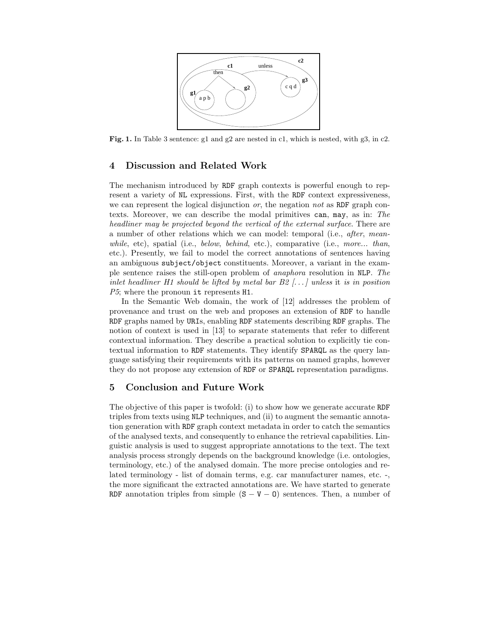

Fig. 1. In Table 3 sentence: g1 and g2 are nested in c1, which is nested, with g3, in c2.

# 4 Discussion and Related Work

The mechanism introduced by RDF graph contexts is powerful enough to represent a variety of NL expressions. First, with the RDF context expressiveness, we can represent the logical disjunction *or*, the negation *not* as RDF graph contexts. Moreover, we can describe the modal primitives can, may, as in: The headliner may be projected beyond the vertical of the external surface. There are a number of other relations which we can model: temporal (i.e., after, meanwhile, etc), spatial (i.e., below, behind, etc.), comparative (i.e., more... than, etc.). Presently, we fail to model the correct annotations of sentences having an ambiguous subject/object constituents. Moreover, a variant in the example sentence raises the still-open problem of anaphora resolution in NLP. The inlet headliner H1 should be lifted by metal bar  $B2$  [...] unless it is in position P5; where the pronoun it represents H1.

In the Semantic Web domain, the work of [12] addresses the problem of provenance and trust on the web and proposes an extension of RDF to handle RDF graphs named by URIs, enabling RDF statements describing RDF graphs. The notion of context is used in [13] to separate statements that refer to different contextual information. They describe a practical solution to explicitly tie contextual information to RDF statements. They identify SPARQL as the query language satisfying their requirements with its patterns on named graphs, however they do not propose any extension of RDF or SPARQL representation paradigms.

# 5 Conclusion and Future Work

The objective of this paper is twofold: (i) to show how we generate accurate RDF triples from texts using NLP techniques, and (ii) to augment the semantic annotation generation with RDF graph context metadata in order to catch the semantics of the analysed texts, and consequently to enhance the retrieval capabilities. Linguistic analysis is used to suggest appropriate annotations to the text. The text analysis process strongly depends on the background knowledge (i.e. ontologies, terminology, etc.) of the analysed domain. The more precise ontologies and related terminology - list of domain terms, e.g. car manufacturer names, etc. -, the more significant the extracted annotations are. We have started to generate RDF annotation triples from simple  $(S - V - 0)$  sentences. Then, a number of